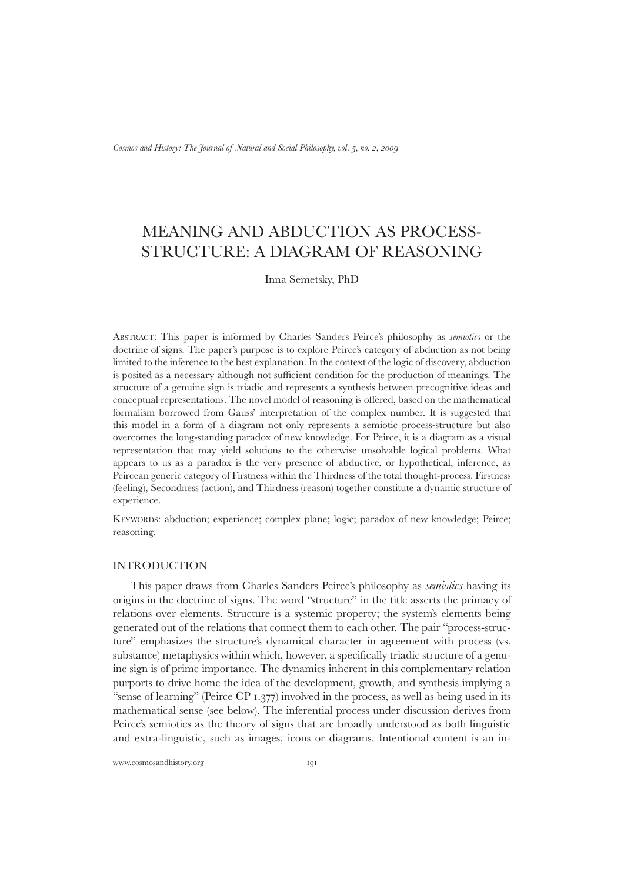# Meaning and abduction as processstructure: a diagram of reasoning

Inna Semetsky, PhD

Abstract: This paper is informed by Charles Sanders Peirce's philosophy as *semiotics* or the doctrine of signs. The paper's purpose is to explore Peirce's category of abduction as not being limited to the inference to the best explanation. In the context of the logic of discovery, abduction is posited as a necessary although not sufficient condition for the production of meanings. The structure of a genuine sign is triadic and represents a synthesis between precognitive ideas and conceptual representations. The novel model of reasoning is offered, based on the mathematical formalism borrowed from Gauss' interpretation of the complex number. It is suggested that this model in a form of a diagram not only represents a semiotic process-structure but also overcomes the long-standing paradox of new knowledge. For Peirce, it is a diagram as a visual representation that may yield solutions to the otherwise unsolvable logical problems. What appears to us as a paradox is the very presence of abductive, or hypothetical, inference, as Peircean generic category of Firstness within the Thirdness of the total thought-process. Firstness (feeling), Secondness (action), and Thirdness (reason) together constitute a dynamic structure of experience.

Keywords: abduction; experience; complex plane; logic; paradox of new knowledge; Peirce; reasoning.

## **INTRODUCTION**

This paper draws from Charles Sanders Peirce's philosophy as *semiotics* having its origins in the doctrine of signs. The word "structure" in the title asserts the primacy of relations over elements. Structure is a systemic property; the system's elements being generated out of the relations that connect them to each other. The pair "process-structure" emphasizes the structure's dynamical character in agreement with process (vs. substance) metaphysics within which, however, a specifically triadic structure of a genuine sign is of prime importance. The dynamics inherent in this complementary relation purports to drive home the idea of the development, growth, and synthesis implying a "sense of learning" (Peirce CP 1.377) involved in the process, as well as being used in its mathematical sense (see below). The inferential process under discussion derives from Peirce's semiotics as the theory of signs that are broadly understood as both linguistic and extra-linguistic, such as images, icons or diagrams. Intentional content is an in-

www.cosmosandhistory.org 191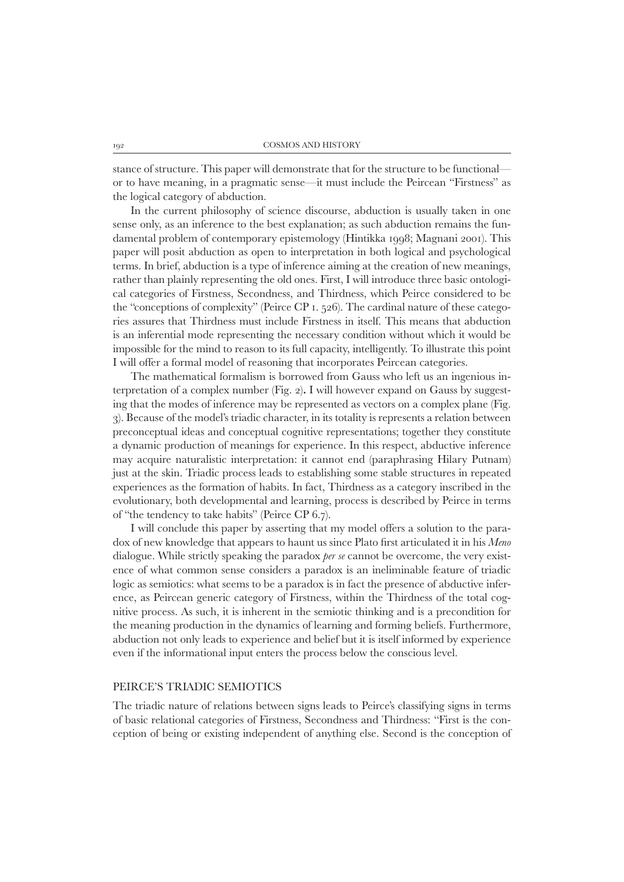stance of structure. This paper will demonstrate that for the structure to be functional or to have meaning, in a pragmatic sense—it must include the Peircean "Firstness" as the logical category of abduction.

In the current philosophy of science discourse, abduction is usually taken in one sense only, as an inference to the best explanation; as such abduction remains the fundamental problem of contemporary epistemology (Hintikka 1998; Magnani 2001). This paper will posit abduction as open to interpretation in both logical and psychological terms. In brief, abduction is a type of inference aiming at the creation of new meanings, rather than plainly representing the old ones. First, I will introduce three basic ontological categories of Firstness, Secondness, and Thirdness, which Peirce considered to be the "conceptions of complexity" (Peirce CP 1. 526). The cardinal nature of these categories assures that Thirdness must include Firstness in itself. This means that abduction is an inferential mode representing the necessary condition without which it would be impossible for the mind to reason to its full capacity, intelligently. To illustrate this point I will offer a formal model of reasoning that incorporates Peircean categories.

The mathematical formalism is borrowed from Gauss who left us an ingenious interpretation of a complex number (Fig. 2)**.** I will however expand on Gauss by suggesting that the modes of inference may be represented as vectors on a complex plane (Fig. 3). Because of the model's triadic character, in its totality is represents a relation between preconceptual ideas and conceptual cognitive representations; together they constitute a dynamic production of meanings for experience. In this respect, abductive inference may acquire naturalistic interpretation: it cannot end (paraphrasing Hilary Putnam) just at the skin. Triadic process leads to establishing some stable structures in repeated experiences as the formation of habits. In fact, Thirdness as a category inscribed in the evolutionary, both developmental and learning, process is described by Peirce in terms of "the tendency to take habits" (Peirce CP 6.7).

I will conclude this paper by asserting that my model offers a solution to the paradox of new knowledge that appears to haunt us since Plato first articulated it in his *Meno* dialogue*.* While strictly speaking the paradox *per se* cannot be overcome, the very existence of what common sense considers a paradox is an ineliminable feature of triadic logic as semiotics: what seems to be a paradox is in fact the presence of abductive inference, as Peircean generic category of Firstness, within the Thirdness of the total cognitive process. As such, it is inherent in the semiotic thinking and is a precondition for the meaning production in the dynamics of learning and forming beliefs. Furthermore, abduction not only leads to experience and belief but it is itself informed by experience even if the informational input enters the process below the conscious level.

## Peirce's triadic semiotics

The triadic nature of relations between signs leads to Peirce's classifying signs in terms of basic relational categories of Firstness, Secondness and Thirdness: "First is the conception of being or existing independent of anything else. Second is the conception of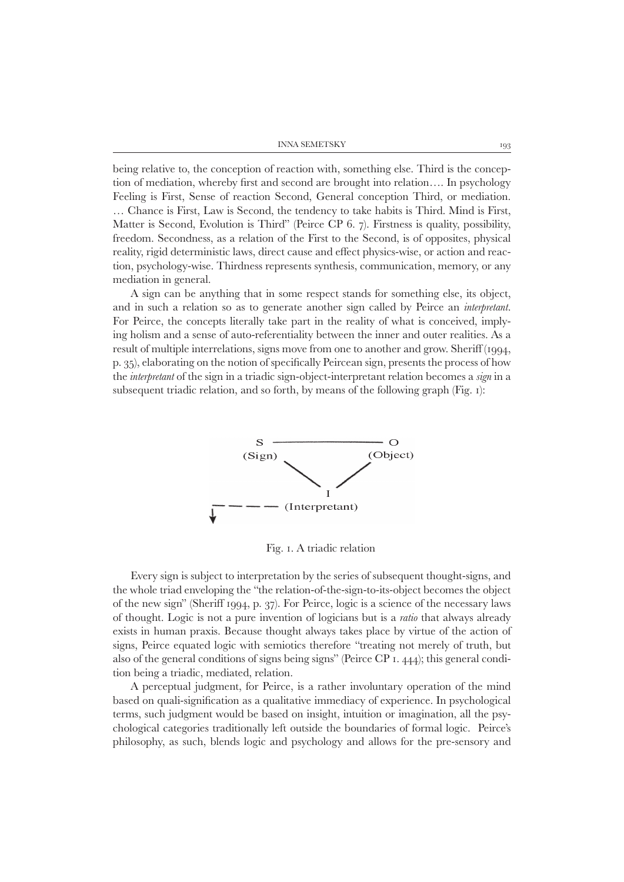being relative to, the conception of reaction with, something else. Third is the conception of mediation, whereby first and second are brought into relation…. In psychology Feeling is First, Sense of reaction Second, General conception Third, or mediation. … Chance is First, Law is Second, the tendency to take habits is Third. Mind is First, Matter is Second, Evolution is Third" (Peirce CP 6. 7). Firstness is quality, possibility, freedom. Secondness, as a relation of the First to the Second, is of opposites, physical reality, rigid deterministic laws, direct cause and effect physics-wise, or action and reaction, psychology-wise. Thirdness represents synthesis, communication, memory, or any mediation in general.

A sign can be anything that in some respect stands for something else, its object, and in such a relation so as to generate another sign called by Peirce an *interpretant*. For Peirce, the concepts literally take part in the reality of what is conceived, implying holism and a sense of auto-referentiality between the inner and outer realities. As a result of multiple interrelations, signs move from one to another and grow. Sheriff (1994, p. 35), elaborating on the notion of specifically Peircean sign, presents the process of how the *interpretant* of the sign in a triadic sign-object-interpretant relation becomes a *sign* in a subsequent triadic relation, and so forth, by means of the following graph (Fig. 1):



Fig. 1. A triadic relation

Every sign is subject to interpretation by the series of subsequent thought-signs, and the whole triad enveloping the "the relation-of-the-sign-to-its-object becomes the object of the new sign" (Sheriff 1994, p. 37). For Peirce, logic is a science of the necessary laws of thought. Logic is not a pure invention of logicians but is a *ratio* that always already exists in human praxis. Because thought always takes place by virtue of the action of signs, Peirce equated logic with semiotics therefore "treating not merely of truth, but also of the general conditions of signs being signs" (Peirce CP 1. 444); this general condition being a triadic, mediated, relation.

A perceptual judgment, for Peirce, is a rather involuntary operation of the mind based on quali-signification as a qualitative immediacy of experience. In psychological terms, such judgment would be based on insight, intuition or imagination, all the psychological categories traditionally left outside the boundaries of formal logic. Peirce's philosophy, as such, blends logic and psychology and allows for the pre-sensory and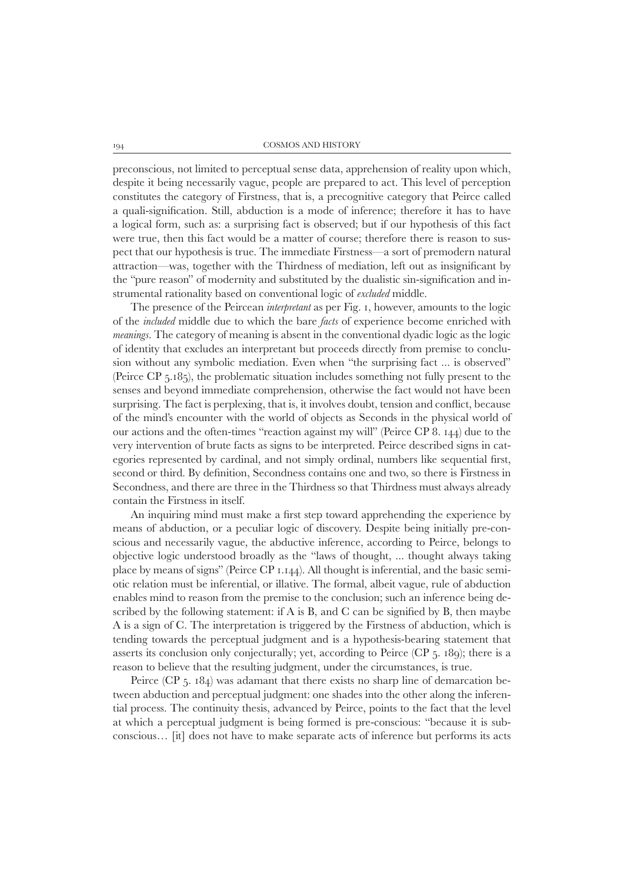preconscious, not limited to perceptual sense data, apprehension of reality upon which, despite it being necessarily vague, people are prepared to act. This level of perception constitutes the category of Firstness, that is, a precognitive category that Peirce called a quali-signification. Still, abduction is a mode of inference; therefore it has to have a logical form, such as: a surprising fact is observed; but if our hypothesis of this fact were true, then this fact would be a matter of course; therefore there is reason to suspect that our hypothesis is true. The immediate Firstness—a sort of premodern natural attraction—was, together with the Thirdness of mediation, left out as insignificant by the "pure reason" of modernity and substituted by the dualistic sin-signification and instrumental rationality based on conventional logic of *excluded* middle.

The presence of the Peircean *interpretant* as per Fig. 1, however, amounts to the logic of the *included* middle due to which the bare *facts* of experience become enriched with *meanings*. The category of meaning is absent in the conventional dyadic logic as the logic of identity that excludes an interpretant but proceeds directly from premise to conclusion without any symbolic mediation. Even when "the surprising fact ... is observed" (Peirce CP 5.185), the problematic situation includes something not fully present to the senses and beyond immediate comprehension, otherwise the fact would not have been surprising. The fact is perplexing, that is, it involves doubt, tension and conflict, because of the mind's encounter with the world of objects as Seconds in the physical world of our actions and the often-times "reaction against my will" (Peirce CP 8. 144) due to the very intervention of brute facts as signs to be interpreted. Peirce described signs in categories represented by cardinal, and not simply ordinal, numbers like sequential first, second or third. By definition, Secondness contains one and two, so there is Firstness in Secondness, and there are three in the Thirdness so that Thirdness must always already contain the Firstness in itself.

An inquiring mind must make a first step toward apprehending the experience by means of abduction, or a peculiar logic of discovery. Despite being initially pre-conscious and necessarily vague, the abductive inference, according to Peirce, belongs to objective logic understood broadly as the "laws of thought, ... thought always taking place by means of signs" (Peirce CP 1.144). All thought is inferential, and the basic semiotic relation must be inferential, or illative*.* The formal, albeit vague, rule of abduction enables mind to reason from the premise to the conclusion; such an inference being described by the following statement: if A is B, and C can be signified by B, then maybe A is a sign of C. The interpretation is triggered by the Firstness of abduction, which is tending towards the perceptual judgment and is a hypothesis-bearing statement that asserts its conclusion only conjecturally; yet, according to Peirce (CP 5. 189); there is a reason to believe that the resulting judgment, under the circumstances, is true.

Peirce (CP 5. 184) was adamant that there exists no sharp line of demarcation between abduction and perceptual judgment: one shades into the other along the inferential process. The continuity thesis, advanced by Peirce, points to the fact that the level at which a perceptual judgment is being formed is pre-conscious: "because it is subconscious… [it] does not have to make separate acts of inference but performs its acts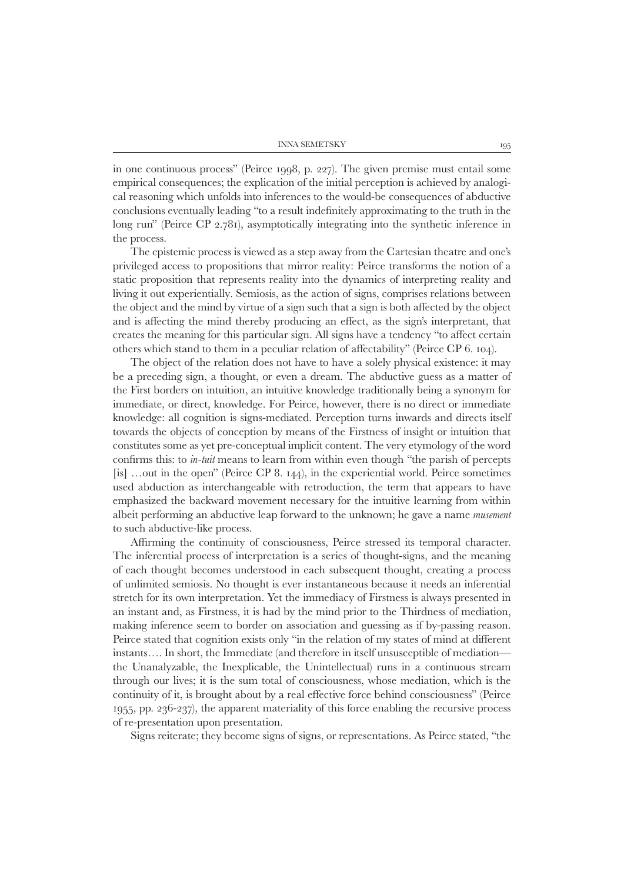INNA SEMETSKY  $195$ 

in one continuous process" (Peirce 1998, p. 227). The given premise must entail some empirical consequences; the explication of the initial perception is achieved by analogical reasoning which unfolds into inferences to the would-be consequences of abductive conclusions eventually leading "to a result indefinitely approximating to the truth in the long run" (Peirce CP 2.781), asymptotically integrating into the synthetic inference in the process.

The epistemic process is viewed as a step away from the Cartesian theatre and one's privileged access to propositions that mirror reality: Peirce transforms the notion of a static proposition that represents reality into the dynamics of interpreting reality and living it out experientially*.* Semiosis, as the action of signs, comprises relations between the object and the mind by virtue of a sign such that a sign is both affected by the object and is affecting the mind thereby producing an effect, as the sign's interpretant, that creates the meaning for this particular sign. All signs have a tendency "to affect certain others which stand to them in a peculiar relation of affectability" (Peirce CP 6. 104).

The object of the relation does not have to have a solely physical existence: it may be a preceding sign, a thought, or even a dream. The abductive guess as a matter of the First borders on intuition, an intuitive knowledge traditionally being a synonym for immediate, or direct, knowledge. For Peirce, however, there is no direct or immediate knowledge: all cognition is signs-mediated. Perception turns inwards and directs itself towards the objects of conception by means of the Firstness of insight or intuition that constitutes some as yet pre-conceptual implicit content. The very etymology of the word confirms this: to *in-tuit* means to learn from within even though "the parish of percepts [is] …out in the open" (Peirce CP 8. 144), in the experiential world. Peirce sometimes used abduction as interchangeable with retroduction, the term that appears to have emphasized the backward movement necessary for the intuitive learning from within albeit performing an abductive leap forward to the unknown; he gave a name *musement*  to such abductive-like process.

Affirming the continuity of consciousness, Peirce stressed its temporal character. The inferential process of interpretation is a series of thought-signs, and the meaning of each thought becomes understood in each subsequent thought, creating a process of unlimited semiosis. No thought is ever instantaneous because it needs an inferential stretch for its own interpretation. Yet the immediacy of Firstness is always presented in an instant and, as Firstness, it is had by the mind prior to the Thirdness of mediation, making inference seem to border on association and guessing as if by-passing reason. Peirce stated that cognition exists only "in the relation of my states of mind at different instants…. In short, the Immediate (and therefore in itself unsusceptible of mediation the Unanalyzable, the Inexplicable, the Unintellectual) runs in a continuous stream through our lives; it is the sum total of consciousness, whose mediation, which is the continuity of it, is brought about by a real effective force behind consciousness" (Peirce 1955, pp. 236-237), the apparent materiality of this force enabling the recursive process of re-presentation upon presentation.

Signs reiterate; they become signs of signs, or representations. As Peirce stated, "the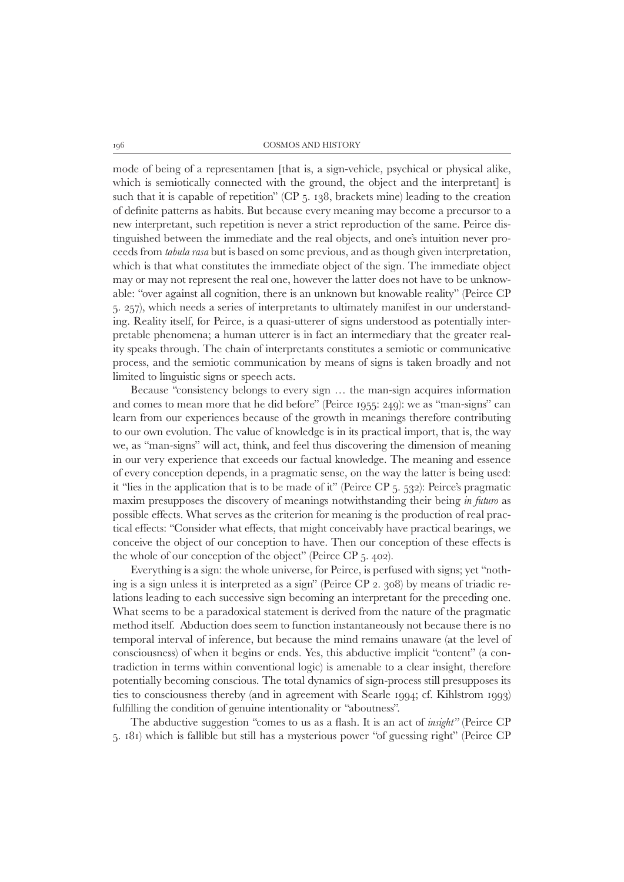mode of being of a representamen [that is, a sign-vehicle, psychical or physical alike, which is semiotically connected with the ground, the object and the interpretant] is such that it is capable of repetition" (CP 5. 138, brackets mine) leading to the creation of definite patterns as habits. But because every meaning may become a precursor to a new interpretant, such repetition is never a strict reproduction of the same. Peirce distinguished between the immediate and the real objects, and one's intuition never proceeds from *tabula rasa* but is based on some previous, and as though given interpretation, which is that what constitutes the immediate object of the sign. The immediate object may or may not represent the real one, however the latter does not have to be unknowable: "over against all cognition, there is an unknown but knowable reality" (Peirce CP 5. 257), which needs a series of interpretants to ultimately manifest in our understanding. Reality itself, for Peirce, is a quasi-utterer of signs understood as potentially interpretable phenomena; a human utterer is in fact an intermediary that the greater reality speaks through. The chain of interpretants constitutes a semiotic or communicative process, and the semiotic communication by means of signs is taken broadly and not limited to linguistic signs or speech acts.

Because "consistency belongs to every sign … the man-sign acquires information and comes to mean more that he did before" (Peirce 1955: 249): we as "man-signs" can learn from our experiences because of the growth in meanings therefore contributing to our own evolution. The value of knowledge is in its practical import, that is, the way we, as "man-signs" will act, think, and feel thus discovering the dimension of meaning in our very experience that exceeds our factual knowledge. The meaning and essence of every conception depends, in a pragmatic sense, on the way the latter is being used: it "lies in the application that is to be made of it" (Peirce CP 5. 532): Peirce's pragmatic maxim presupposes the discovery of meanings notwithstanding their being *in futuro* as possible effects. What serves as the criterion for meaning is the production of real practical effects: "Consider what effects, that might conceivably have practical bearings, we conceive the object of our conception to have. Then our conception of these effects is the whole of our conception of the object" (Peirce CP 5. 402).

Everything is a sign: the whole universe, for Peirce, is perfused with signs; yet "nothing is a sign unless it is interpreted as a sign" (Peirce CP 2. 308) by means of triadic relations leading to each successive sign becoming an interpretant for the preceding one. What seems to be a paradoxical statement is derived from the nature of the pragmatic method itself. Abduction does seem to function instantaneously not because there is no temporal interval of inference, but because the mind remains unaware (at the level of consciousness) of when it begins or ends. Yes, this abductive implicit "content" (a contradiction in terms within conventional logic) is amenable to a clear insight, therefore potentially becoming conscious. The total dynamics of sign-process still presupposes its ties to consciousness thereby (and in agreement with Searle 1994; cf. Kihlstrom 1993) fulfilling the condition of genuine intentionality or "aboutness".

The abductive suggestion "comes to us as a flash. It is an act of *insight"* (Peirce CP 5. 181) which is fallible but still has a mysterious power "of guessing right" (Peirce CP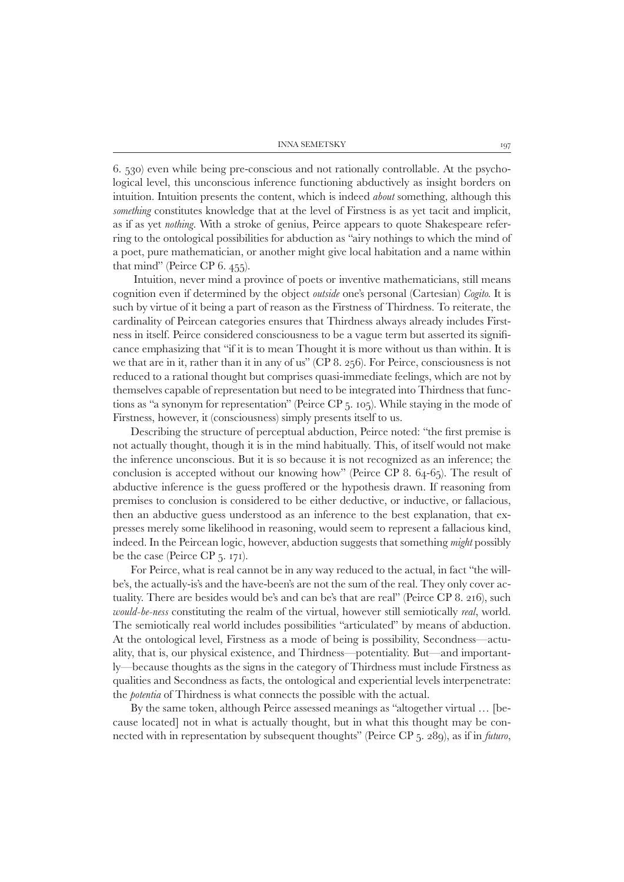6. 530) even while being pre-conscious and not rationally controllable. At the psychological level, this unconscious inference functioning abductively as insight borders on intuition*.* Intuition presents the content, which is indeed *about* something*,* although this *something* constitutes knowledge that at the level of Firstness is as yet tacit and implicit, as if as yet *nothing*. With a stroke of genius, Peirce appears to quote Shakespeare referring to the ontological possibilities for abduction as "airy nothings to which the mind of a poet, pure mathematician, or another might give local habitation and a name within that mind" (Peirce CP 6. 455).

Intuition, never mind a province of poets or inventive mathematicians, still means cognition even if determined by the object *outside* one's personal (Cartesian) *Cogito.* It is such by virtue of it being a part of reason as the Firstness of Thirdness. To reiterate, the cardinality of Peircean categories ensures that Thirdness always already includes Firstness in itself. Peirce considered consciousness to be a vague term but asserted its significance emphasizing that "if it is to mean Thought it is more without us than within. It is we that are in it, rather than it in any of us" (CP 8. 256). For Peirce, consciousness is not reduced to a rational thought but comprises quasi-immediate feelings, which are not by themselves capable of representation but need to be integrated into Thirdness that functions as "a synonym for representation" (Peirce CP 5. 105). While staying in the mode of Firstness, however, it (consciousness) simply presents itself to us.

Describing the structure of perceptual abduction, Peirce noted: "the first premise is not actually thought, though it is in the mind habitually. This, of itself would not make the inference unconscious. But it is so because it is not recognized as an inference; the conclusion is accepted without our knowing how" (Peirce CP 8. 64-65). The result of abductive inference is the guess proffered or the hypothesis drawn. If reasoning from premises to conclusion is considered to be either deductive, or inductive, or fallacious, then an abductive guess understood as an inference to the best explanation, that expresses merely some likelihood in reasoning, would seem to represent a fallacious kind, indeed. In the Peircean logic, however, abduction suggests that something *might* possibly be the case (Peirce CP 5. 171).

For Peirce, what is real cannot be in any way reduced to the actual, in fact "the willbe's, the actually-is's and the have-been's are not the sum of the real. They only cover actuality. There are besides would be's and can be's that are real" (Peirce CP 8. 216), such *would-be-ness* constituting the realm of the virtual, however still semiotically *real*, world. The semiotically real world includes possibilities "articulated" by means of abduction. At the ontological level, Firstness as a mode of being is possibility, Secondness—actuality, that is, our physical existence, and Thirdness—potentiality. But—and importantly—because thoughts as the signs in the category of Thirdness must include Firstness as qualities and Secondness as facts, the ontological and experiential levels interpenetrate: the *potentia* of Thirdness is what connects the possible with the actual.

By the same token, although Peirce assessed meanings as "altogether virtual … [because located] not in what is actually thought, but in what this thought may be connected with in representation by subsequent thoughts" (Peirce CP 5. 289), as if in *futuro*,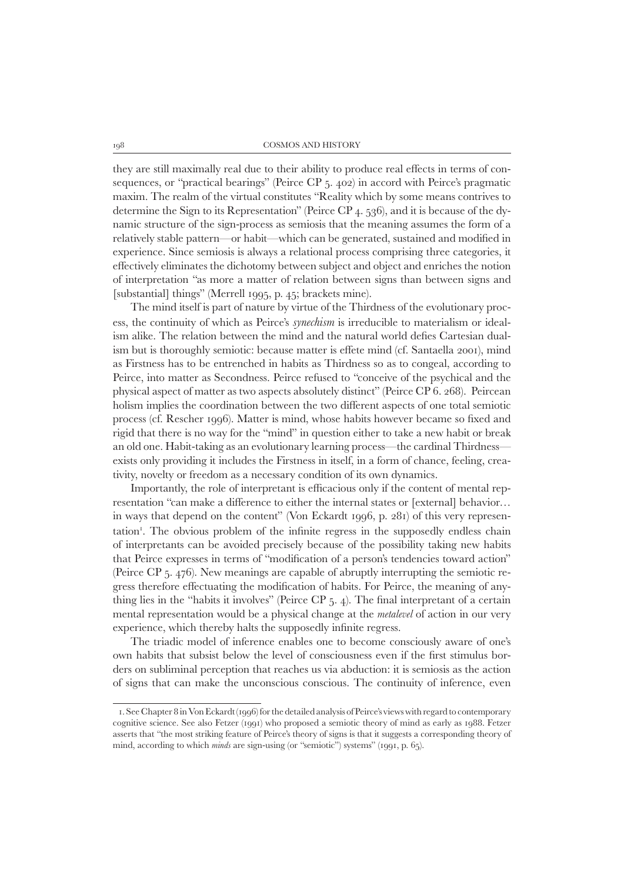they are still maximally real due to their ability to produce real effects in terms of consequences, or "practical bearings" (Peirce CP 5. 402) in accord with Peirce's pragmatic maxim. The realm of the virtual constitutes "Reality which by some means contrives to determine the Sign to its Representation" (Peirce CP 4. 536), and it is because of the dynamic structure of the sign-process as semiosis that the meaning assumes the form of a relatively stable pattern—or habit—which can be generated, sustained and modified in experience. Since semiosis is always a relational process comprising three categories, it effectively eliminates the dichotomy between subject and object and enriches the notion of interpretation "as more a matter of relation between signs than between signs and [substantial] things" (Merrell 1995, p. 45; brackets mine).

The mind itself is part of nature by virtue of the Thirdness of the evolutionary process, the continuity of which as Peirce's *synechism* is irreducible to materialism or idealism alike. The relation between the mind and the natural world defies Cartesian dualism but is thoroughly semiotic: because matter is effete mind (cf. Santaella 2001), mind as Firstness has to be entrenched in habits as Thirdness so as to congeal, according to Peirce, into matter as Secondness. Peirce refused to "conceive of the psychical and the physical aspect of matter as two aspects absolutely distinct" (Peirce CP 6. 268). Peircean holism implies the coordination between the two different aspects of one total semiotic process (cf. Rescher 1996). Matter is mind, whose habits however became so fixed and rigid that there is no way for the "mind" in question either to take a new habit or break an old one. Habit-taking as an evolutionary learning process—the cardinal Thirdness exists only providing it includes the Firstness in itself, in a form of chance, feeling, creativity, novelty or freedom as a necessary condition of its own dynamics.

Importantly, the role of interpretant is efficacious only if the content of mental representation "can make a difference to either the internal states or [external] behavior… in ways that depend on the content" (Von Eckardt 1996, p. 281) of this very representation<sup>1</sup>. The obvious problem of the infinite regress in the supposedly endless chain of interpretants can be avoided precisely because of the possibility taking new habits that Peirce expresses in terms of "modification of a person's tendencies toward action" (Peirce CP 5. 476). New meanings are capable of abruptly interrupting the semiotic regress therefore effectuating the modification of habits. For Peirce, the meaning of anything lies in the "habits it involves" (Peirce CP 5. 4). The final interpretant of a certain mental representation would be a physical change at the *metalevel* of action in our very experience, which thereby halts the supposedly infinite regress.

The triadic model of inference enables one to become consciously aware of one's own habits that subsist below the level of consciousness even if the first stimulus borders on subliminal perception that reaches us via abduction: it is semiosis as the action of signs that can make the unconscious conscious. The continuity of inference, even

 <sup>1.</sup> See Chapter 8 in Von Eckardt (1996) for the detailed analysis of Peirce's views with regard to contemporary cognitive science. See also Fetzer (1991) who proposed a semiotic theory of mind as early as 1988. Fetzer asserts that "the most striking feature of Peirce's theory of signs is that it suggests a corresponding theory of mind, according to which *minds* are sign-using (or "semiotic") systems" (1991, p. 65).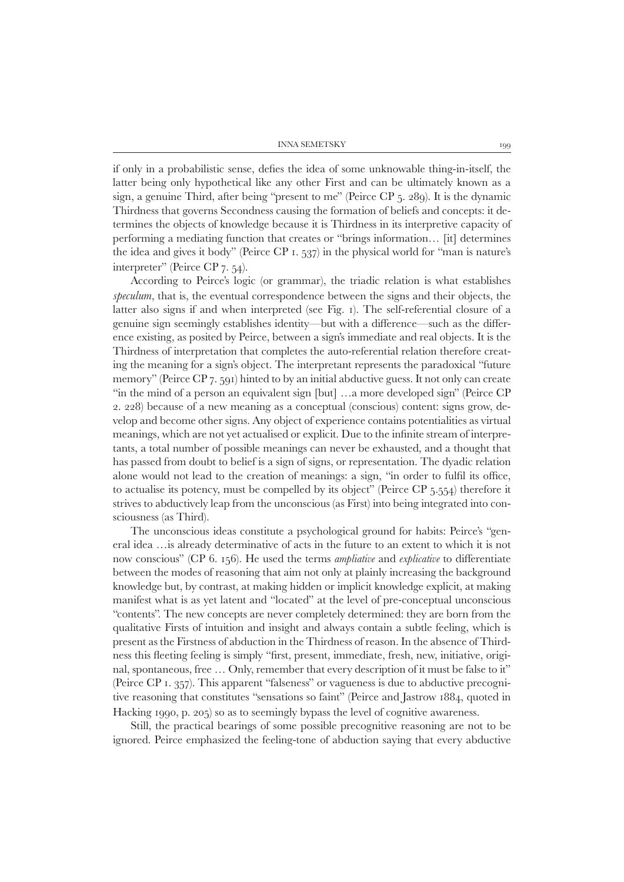INNA SEMETSKY 199

if only in a probabilistic sense, defies the idea of some unknowable thing-in-itself, the latter being only hypothetical like any other First and can be ultimately known as a sign, a genuine Third, after being "present to me" (Peirce CP 5. 289). It is the dynamic Thirdness that governs Secondness causing the formation of beliefs and concepts: it determines the objects of knowledge because it is Thirdness in its interpretive capacity of performing a mediating function that creates or "brings information… [it] determines the idea and gives it body" (Peirce CP 1. 537) in the physical world for "man is nature's interpreter" (Peirce CP 7. 54).

According to Peirce's logic (or grammar), the triadic relation is what establishes *speculum*, that is, the eventual correspondence between the signs and their objects, the latter also signs if and when interpreted (see Fig. 1). The self-referential closure of a genuine sign seemingly establishes identity—but with a difference—such as the difference existing, as posited by Peirce, between a sign's immediate and real objects. It is the Thirdness of interpretation that completes the auto-referential relation therefore creating the meaning for a sign's object. The interpretant represents the paradoxical "future memory" (Peirce CP 7. 591) hinted to by an initial abductive guess. It not only can create "in the mind of a person an equivalent sign [but] …a more developed sign" (Peirce CP 2. 228) because of a new meaning as a conceptual (conscious) content: signs grow, develop and become other signs. Any object of experience contains potentialities as virtual meanings, which are not yet actualised or explicit. Due to the infinite stream of interpretants, a total number of possible meanings can never be exhausted, and a thought that has passed from doubt to belief is a sign of signs, or representation. The dyadic relation alone would not lead to the creation of meanings: a sign, "in order to fulfil its office, to actualise its potency, must be compelled by its object" (Peirce CP 5.554) therefore it strives to abductively leap from the unconscious (as First) into being integrated into consciousness (as Third).

The unconscious ideas constitute a psychological ground for habits: Peirce's "general idea …is already determinative of acts in the future to an extent to which it is not now conscious" (CP 6. 156). He used the terms *ampliative* and *explicative* to differentiate between the modes of reasoning that aim not only at plainly increasing the background knowledge but, by contrast, at making hidden or implicit knowledge explicit, at making manifest what is as yet latent and "located" at the level of pre-conceptual unconscious "contents". The new concepts are never completely determined: they are born from the qualitative Firsts of intuition and insight and always contain a subtle feeling, which is present as the Firstness of abduction in the Thirdness of reason. In the absence of Thirdness this fleeting feeling is simply "first, present, immediate, fresh, new, initiative, original, spontaneous, free … Only, remember that every description of it must be false to it" (Peirce CP 1. 357). This apparent "falseness" or vagueness is due to abductive precognitive reasoning that constitutes "sensations so faint" (Peirce and Jastrow 1884, quoted in Hacking 1990, p. 205) so as to seemingly bypass the level of cognitive awareness.

Still, the practical bearings of some possible precognitive reasoning are not to be ignored. Peirce emphasized the feeling-tone of abduction saying that every abductive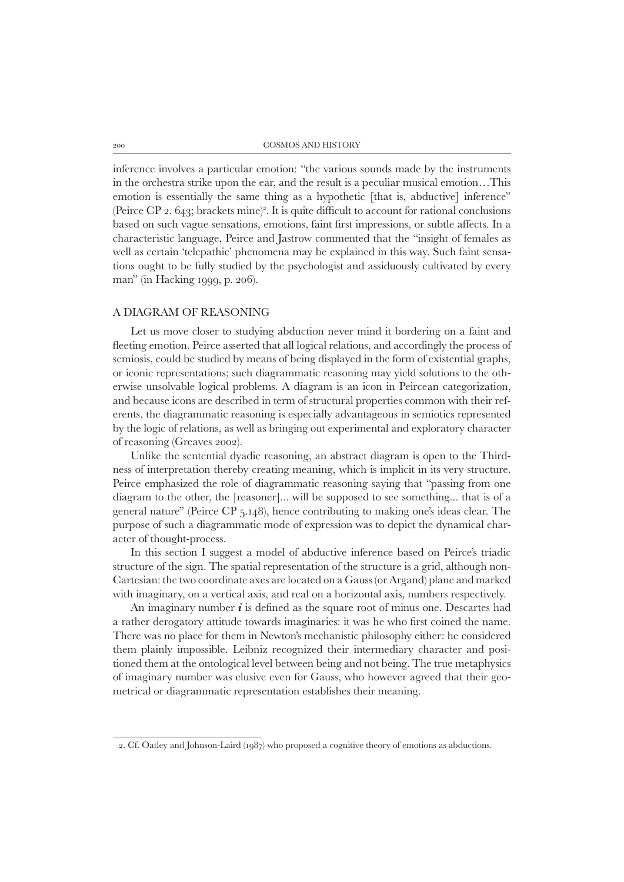inference involves a particular emotion: "the various sounds made by the instruments in the orchestra strike upon the ear, and the result is a peculiar musical emotion…This emotion is essentially the same thing as a hypothetic [that is, abductive] inference" (Peirce CP 2.  $643$ ; brackets mine)<sup>2</sup>. It is quite difficult to account for rational conclusions based on such vague sensations, emotions, faint first impressions, or subtle affects. In a characteristic language, Peirce and Jastrow commented that the "insight of females as well as certain 'telepathic' phenomena may be explained in this way. Such faint sensations ought to be fully studied by the psychologist and assiduously cultivated by every man" (in Hacking 1999, p. 206).

# A diagram of reasoning

Let us move closer to studying abduction never mind it bordering on a faint and fleeting emotion. Peirce asserted that all logical relations, and accordingly the process of semiosis, could be studied by means of being displayed in the form of existential graphs, or iconic representations; such diagrammatic reasoning may yield solutions to the otherwise unsolvable logical problems. A diagram is an icon in Peircean categorization, and because icons are described in term of structural properties common with their referents, the diagrammatic reasoning is especially advantageous in semiotics represented by the logic of relations, as well as bringing out experimental and exploratory character of reasoning (Greaves 2002).

Unlike the sentential dyadic reasoning, an abstract diagram is open to the Thirdness of interpretation thereby creating meaning, which is implicit in its very structure. Peirce emphasized the role of diagrammatic reasoning saying that "passing from one diagram to the other, the [reasoner]... will be supposed to see something... that is of a general nature" (Peirce CP 5.148), hence contributing to making one's ideas clear. The purpose of such a diagrammatic mode of expression was to depict the dynamical character of thought-process.

In this section I suggest a model of abductive inference based on Peirce's triadic structure of the sign. The spatial representation of the structure is a grid, although non-Cartesian: the two coordinate axes are located on a Gauss (or Argand) plane and marked with imaginary, on a vertical axis, and real on a horizontal axis, numbers respectively.

An imaginary number *i* is defined as the square root of minus one. Descartes had a rather derogatory attitude towards imaginaries: it was he who first coined the name. There was no place for them in Newton's mechanistic philosophy either: he considered them plainly impossible. Leibniz recognized their intermediary character and positioned them at the ontological level between being and not being. The true metaphysics of imaginary number was elusive even for Gauss, who however agreed that their geometrical or diagrammatic representation establishes their meaning.

 <sup>2.</sup> Cf. Oatley and Johnson-Laird (1987) who proposed a cognitive theory of emotions as abductions.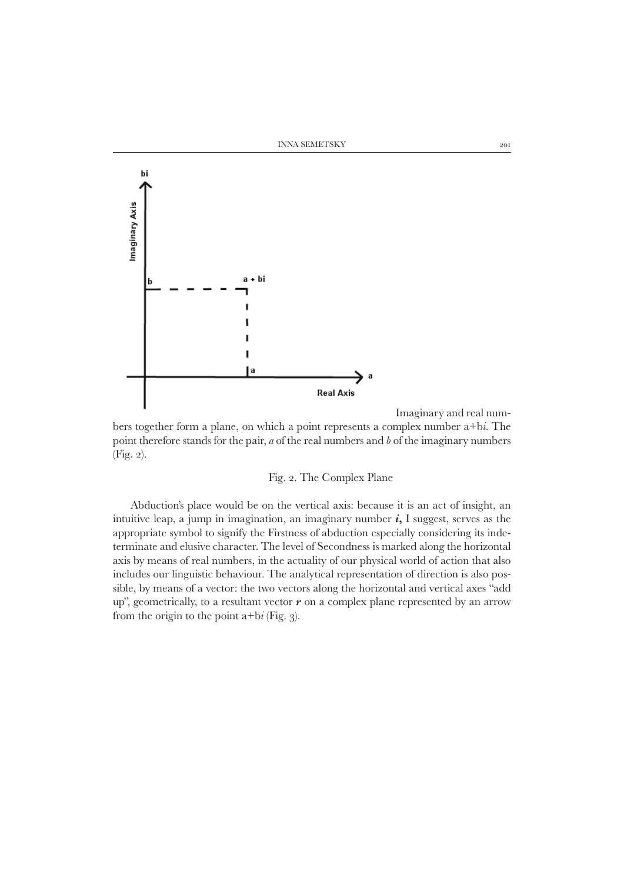



Imaginary and real num-

bers together form a plane, on which a point represents a complex number a+b*i*. The point therefore stands for the pair, *a* of the real numbers and *b* of the imaginary numbers (Fig. 2).

# Fig. 2. The Complex Plane

Abduction's place would be on the vertical axis: because it is an act of insight, an intuitive leap, a jump in imagination, an imaginary number *i***,** I suggest, serves as the appropriate symbol to signify the Firstness of abduction especially considering its indeterminate and elusive character. The level of Secondness is marked along the horizontal axis by means of real numbers, in the actuality of our physical world of action that also includes our linguistic behaviour. The analytical representation of direction is also possible, by means of a vector: the two vectors along the horizontal and vertical axes "add up", geometrically, to a resultant vector *r* on a complex plane represented by an arrow from the origin to the point a+b*i* (Fig. 3).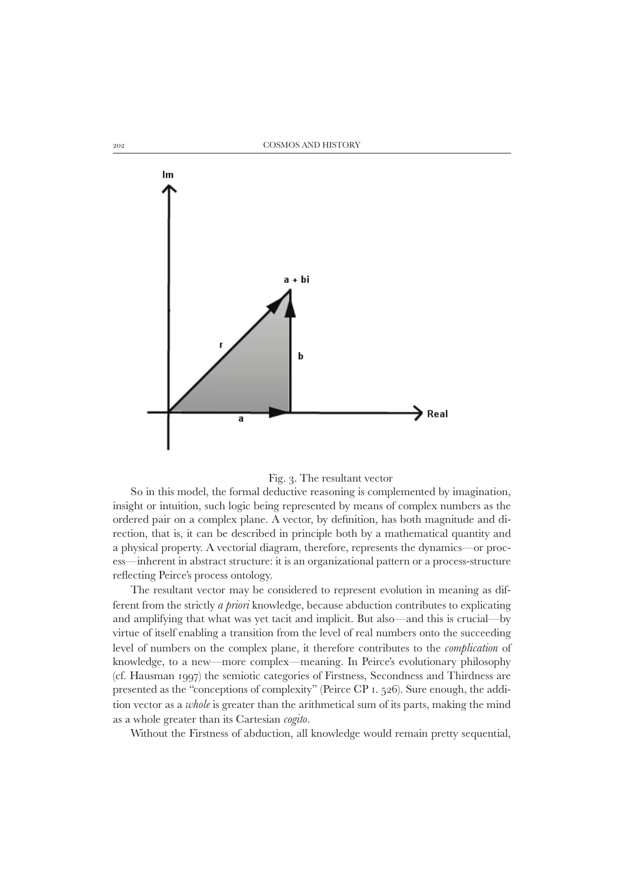

#### Fig. 3. The resultant vector

So in this model, the formal deductive reasoning is complemented by imagination, insight or intuition, such logic being represented by means of complex numbers as the ordered pair on a complex plane. A vector, by definition, has both magnitude and direction, that is, it can be described in principle both by a mathematical quantity and a physical property. A vectorial diagram, therefore, represents the dynamics—or process—inherent in abstract structure: it is an organizational pattern or a process-structure reflecting Peirce's process ontology.

The resultant vector may be considered to represent evolution in meaning as different from the strictly *a priori* knowledge, because abduction contributes to explicating and amplifying that what was yet tacit and implicit. But also—and this is crucial—by virtue of itself enabling a transition from the level of real numbers onto the succeeding level of numbers on the complex plane, it therefore contributes to the *complication* of knowledge, to a new—more complex—meaning. In Peirce's evolutionary philosophy (cf. Hausman 1997) the semiotic categories of Firstness, Secondness and Thirdness are presented as the "conceptions of complexity" (Peirce CP 1. 526). Sure enough, the addition vector as a *whole* is greater than the arithmetical sum of its parts, making the mind as a whole greater than its Cartesian *cogito*.

Without the Firstness of abduction, all knowledge would remain pretty sequential,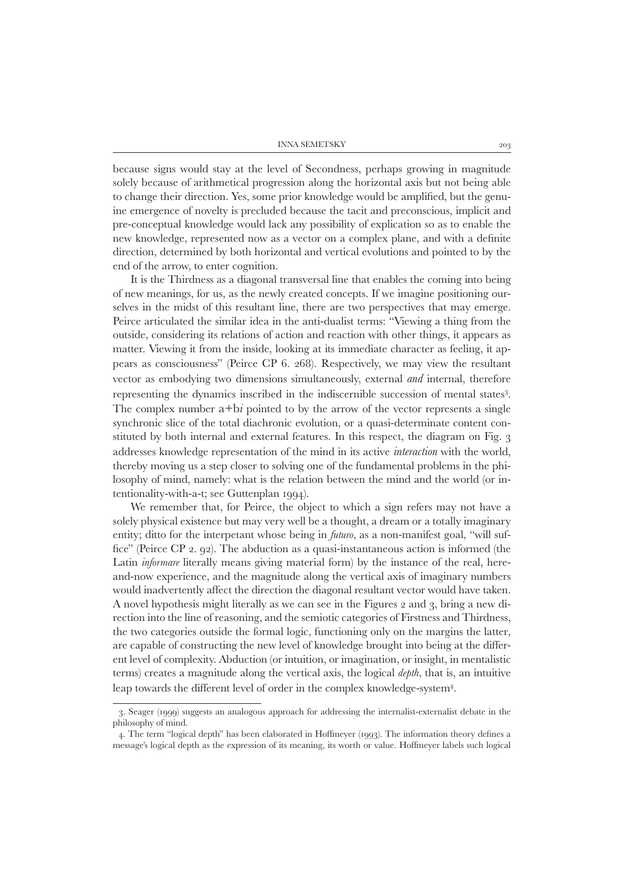because signs would stay at the level of Secondness, perhaps growing in magnitude solely because of arithmetical progression along the horizontal axis but not being able to change their direction. Yes, some prior knowledge would be amplified, but the genuine emergence of novelty is precluded because the tacit and preconscious, implicit and pre-conceptual knowledge would lack any possibility of explication so as to enable the new knowledge, represented now as a vector on a complex plane, and with a definite direction, determined by both horizontal and vertical evolutions and pointed to by the end of the arrow, to enter cognition.

It is the Thirdness as a diagonal transversal line that enables the coming into being of new meanings, for us, as the newly created concepts. If we imagine positioning ourselves in the midst of this resultant line, there are two perspectives that may emerge. Peirce articulated the similar idea in the anti-dualist terms: "Viewing a thing from the outside, considering its relations of action and reaction with other things, it appears as matter. Viewing it from the inside, looking at its immediate character as feeling, it appears as consciousness" (Peirce CP 6. 268). Respectively, we may view the resultant vector as embodying two dimensions simultaneously, external *and* internal, therefore representing the dynamics inscribed in the indiscernible succession of mental states3 . The complex number  $a+b\tilde{i}$  pointed to by the arrow of the vector represents a single synchronic slice of the total diachronic evolution, or a quasi-determinate content constituted by both internal and external features. In this respect, the diagram on Fig. 3 addresses knowledge representation of the mind in its active *interaction* with the world, thereby moving us a step closer to solving one of the fundamental problems in the philosophy of mind, namely: what is the relation between the mind and the world (or intentionality-with-a-t; see Guttenplan 1994).

We remember that, for Peirce, the object to which a sign refers may not have a solely physical existence but may very well be a thought, a dream or a totally imaginary entity; ditto for the interpetant whose being in *futuro*, as a non-manifest goal, "will suffice" (Peirce CP 2. 92). The abduction as a quasi-instantaneous action is informed (the Latin *informare* literally means giving material form) by the instance of the real, hereand-now experience, and the magnitude along the vertical axis of imaginary numbers would inadvertently affect the direction the diagonal resultant vector would have taken. A novel hypothesis might literally as we can see in the Figures 2 and 3, bring a new direction into the line of reasoning, and the semiotic categories of Firstness and Thirdness, the two categories outside the formal logic, functioning only on the margins the latter*,*  are capable of constructing the new level of knowledge brought into being at the different level of complexity. Abduction (or intuition, or imagination, or insight, in mentalistic terms) creates a magnitude along the vertical axis, the logical *depth*, that is, an intuitive leap towards the different level of order in the complex knowledge-system<sup>4</sup>.

 <sup>3.</sup> Seager (1999) suggests an analogous approach for addressing the internalist-externalist debate in the philosophy of mind.

 <sup>4.</sup> The term "logical depth" has been elaborated in Hoffmeyer (1993). The information theory defines a message's logical depth as the expression of its meaning, its worth or value. Hoffmeyer labels such logical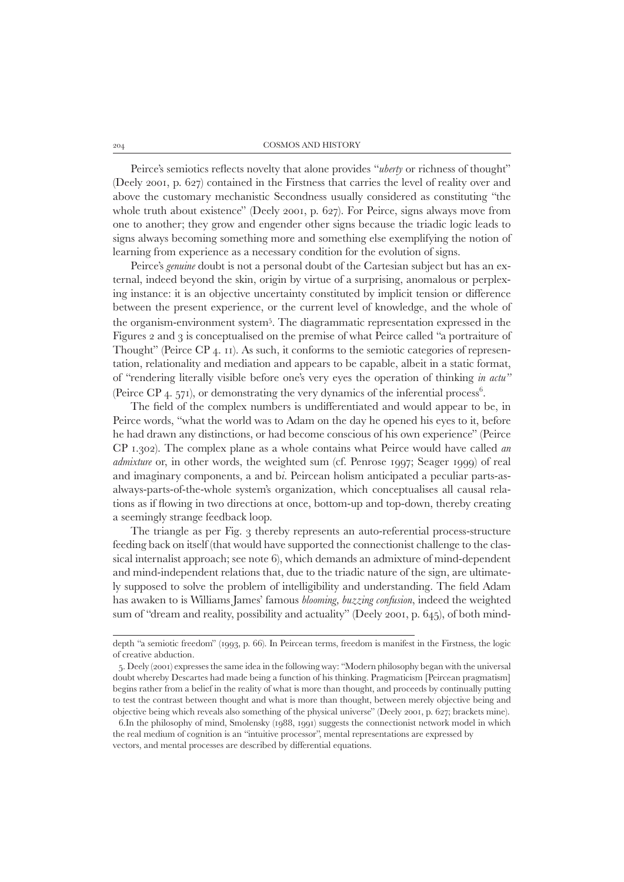Peirce's semiotics reflects novelty that alone provides "*uberty* or richness of thought" (Deely 2001, p. 627) contained in the Firstness that carries the level of reality over and above the customary mechanistic Secondness usually considered as constituting "the whole truth about existence" (Deely 2001, p. 627). For Peirce, signs always move from one to another; they grow and engender other signs because the triadic logic leads to signs always becoming something more and something else exemplifying the notion of learning from experience as a necessary condition for the evolution of signs.

Peirce's *genuine* doubt is not a personal doubt of the Cartesian subject but has an external, indeed beyond the skin, origin by virtue of a surprising, anomalous or perplexing instance: it is an objective uncertainty constituted by implicit tension or difference between the present experience, or the current level of knowledge, and the whole of the organism-environment system5 . The diagrammatic representation expressed in the Figures 2 and 3 is conceptualised on the premise of what Peirce called "a portraiture of Thought" (Peirce CP 4. 11). As such, it conforms to the semiotic categories of representation, relationality and mediation and appears to be capable, albeit in a static format, of "rendering literally visible before one's very eyes the operation of thinking *in actu"* (Peirce CP  $_4$ . 571), or demonstrating the very dynamics of the inferential process<sup>6</sup>.

The field of the complex numbers is undifferentiated and would appear to be, in Peirce words, "what the world was to Adam on the day he opened his eyes to it, before he had drawn any distinctions, or had become conscious of his own experience" (Peirce CP 1.302). The complex plane as a whole contains what Peirce would have called *an admixture* or, in other words, the weighted sum (cf. Penrose 1997; Seager 1999) of real and imaginary components, a and b*i*. Peircean holism anticipated a peculiar parts-asalways-parts-of-the-whole system's organization, which conceptualises all causal relations as if flowing in two directions at once, bottom-up and top-down, thereby creating a seemingly strange feedback loop.

The triangle as per Fig. 3 thereby represents an auto-referential process-structure feeding back on itself (that would have supported the connectionist challenge to the classical internalist approach; see note 6), which demands an admixture of mind-dependent and mind-independent relations that, due to the triadic nature of the sign, are ultimately supposed to solve the problem of intelligibility and understanding. The field Adam has awaken to is Williams James' famous *blooming, buzzing confusion*, indeed the weighted sum of "dream and reality, possibility and actuality" (Deely 2001, p. 645), of both mind-

depth "a semiotic freedom" (1993, p. 66). In Peircean terms, freedom is manifest in the Firstness, the logic of creative abduction.

 <sup>5.</sup> Deely (2001) expresses the same idea in the following way: "Modern philosophy began with the universal doubt whereby Descartes had made being a function of his thinking. Pragmaticism [Peircean pragmatism] begins rather from a belief in the reality of what is more than thought, and proceeds by continually putting to test the contrast between thought and what is more than thought, between merely objective being and objective being which reveals also something of the physical universe" (Deely 2001, p. 627; brackets mine).

 <sup>6.</sup>In the philosophy of mind, Smolensky (1988, 1991) suggests the connectionist network model in which the real medium of cognition is an "intuitive processor", mental representations are expressed by vectors, and mental processes are described by differential equations.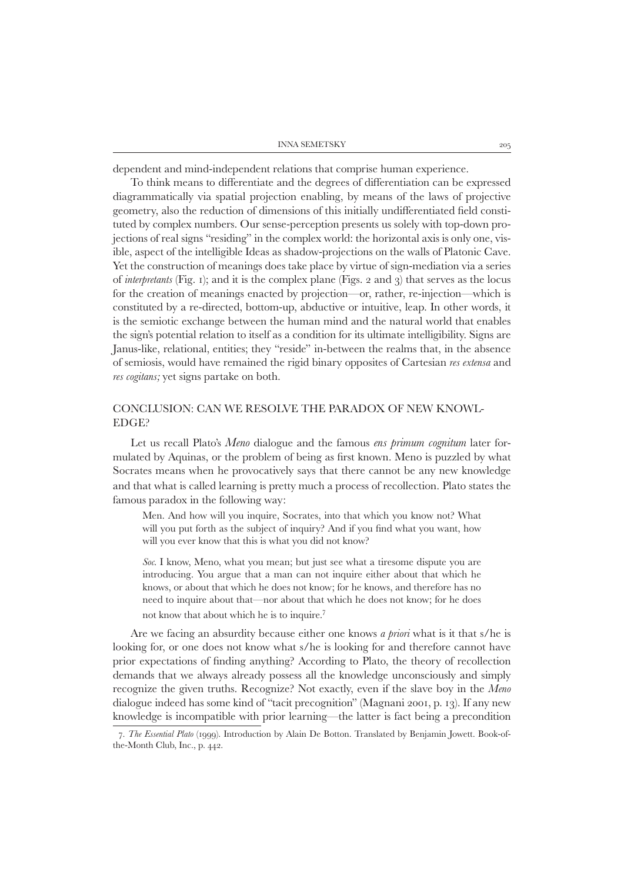| <b>INNA SEMETSKY</b> |  |
|----------------------|--|
|                      |  |

dependent and mind-independent relations that comprise human experience.

To think means to differentiate and the degrees of differentiation can be expressed diagrammatically via spatial projection enabling, by means of the laws of projective geometry, also the reduction of dimensions of this initially undifferentiated field constituted by complex numbers. Our sense-perception presents us solely with top-down projections of real signs "residing" in the complex world: the horizontal axis is only one, visible, aspect of the intelligible Ideas as shadow-projections on the walls of Platonic Cave. Yet the construction of meanings does take place by virtue of sign-mediation via a series of *interpretants* (Fig. 1); and it is the complex plane (Figs. 2 and 3) that serves as the locus for the creation of meanings enacted by projection—or, rather, re-injection—which is constituted by a re-directed, bottom-up, abductive or intuitive, leap. In other words, it is the semiotic exchange between the human mind and the natural world that enables the sign's potential relation to itself as a condition for its ultimate intelligibility. Signs are Janus-like, relational, entities; they "reside" in-between the realms that, in the absence of semiosis, would have remained the rigid binary opposites of Cartesian *res extensa* and *res cogitans;* yet signs partake on both.

# Conclusion: can we resolve the paradox of new knowl-EDGE?

Let us recall Plato's *Meno* dialogue and the famous *ens primum cognitum* later formulated by Aquinas, or the problem of being as first known. Meno is puzzled by what Socrates means when he provocatively says that there cannot be any new knowledge and that what is called learning is pretty much a process of recollection. Plato states the famous paradox in the following way:

Men. And how will you inquire, Socrates, into that which you know not? What will you put forth as the subject of inquiry? And if you find what you want, how will you ever know that this is what you did not know?

*Soc.* I know, Meno, what you mean; but just see what a tiresome dispute you are introducing. You argue that a man can not inquire either about that which he knows, or about that which he does not know; for he knows, and therefore has no need to inquire about that—nor about that which he does not know; for he does not know that about which he is to inquire.7

Are we facing an absurdity because either one knows *a priori* what is it that s/he is looking for, or one does not know what s/he is looking for and therefore cannot have prior expectations of finding anything? According to Plato, the theory of recollection demands that we always already possess all the knowledge unconsciously and simply recognize the given truths. Recognize? Not exactly, even if the slave boy in the *Meno* dialogue indeed has some kind of "tacit precognition" (Magnani 2001, p. 13). If any new knowledge is incompatible with prior learning—the latter is fact being a precondition

 <sup>7.</sup> *The Essential Plato* (1999). Introduction by Alain De Botton. Translated by Benjamin Jowett. Book-ofthe-Month Club, Inc., p. 442.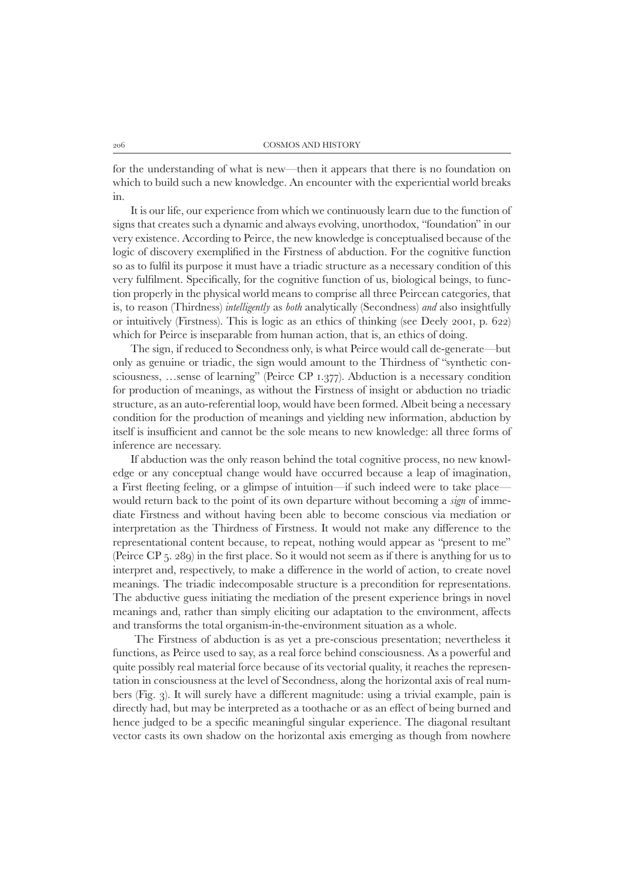for the understanding of what is new—then it appears that there is no foundation on which to build such a new knowledge. An encounter with the experiential world breaks in.

It is our life, our experience from which we continuously learn due to the function of signs that creates such a dynamic and always evolving, unorthodox, "foundation" in our very existence. According to Peirce, the new knowledge is conceptualised because of the logic of discovery exemplified in the Firstness of abduction. For the cognitive function so as to fulfil its purpose it must have a triadic structure as a necessary condition of this very fulfilment. Specifically, for the cognitive function of us, biological beings, to function properly in the physical world means to comprise all three Peircean categories, that is, to reason (Thirdness) *intelligently* as *both* analytically (Secondness) *and* also insightfully or intuitively (Firstness)*.* This is logic as an ethics of thinking (see Deely 2001, p. 622) which for Peirce is inseparable from human action, that is, an ethics of doing.

The sign, if reduced to Secondness only, is what Peirce would call de-generate—but only as genuine or triadic, the sign would amount to the Thirdness of "synthetic consciousness, …sense of learning" (Peirce CP 1.377). Abduction is a necessary condition for production of meanings, as without the Firstness of insight or abduction no triadic structure, as an auto-referential loop, would have been formed. Albeit being a necessary condition for the production of meanings and yielding new information, abduction by itself is insufficient and cannot be the sole means to new knowledge: all three forms of inference are necessary.

If abduction was the only reason behind the total cognitive process, no new knowledge or any conceptual change would have occurred because a leap of imagination, a First fleeting feeling, or a glimpse of intuition—if such indeed were to take place would return back to the point of its own departure without becoming a *sign* of immediate Firstness and without having been able to become conscious via mediation or interpretation as the Thirdness of Firstness. It would not make any difference to the representational content because, to repeat, nothing would appear as "present to me" (Peirce CP 5. 289) in the first place. So it would not seem as if there is anything for us to interpret and, respectively, to make a difference in the world of action, to create novel meanings. The triadic indecomposable structure is a precondition for representations. The abductive guess initiating the mediation of the present experience brings in novel meanings and, rather than simply eliciting our adaptation to the environment, affects and transforms the total organism-in-the-environment situation as a whole.

The Firstness of abduction is as yet a pre-conscious presentation; nevertheless it functions, as Peirce used to say, as a real force behind consciousness. As a powerful and quite possibly real material force because of its vectorial quality, it reaches the representation in consciousness at the level of Secondness, along the horizontal axis of real numbers (Fig. 3). It will surely have a different magnitude: using a trivial example, pain is directly had, but may be interpreted as a toothache or as an effect of being burned and hence judged to be a specific meaningful singular experience. The diagonal resultant vector casts its own shadow on the horizontal axis emerging as though from nowhere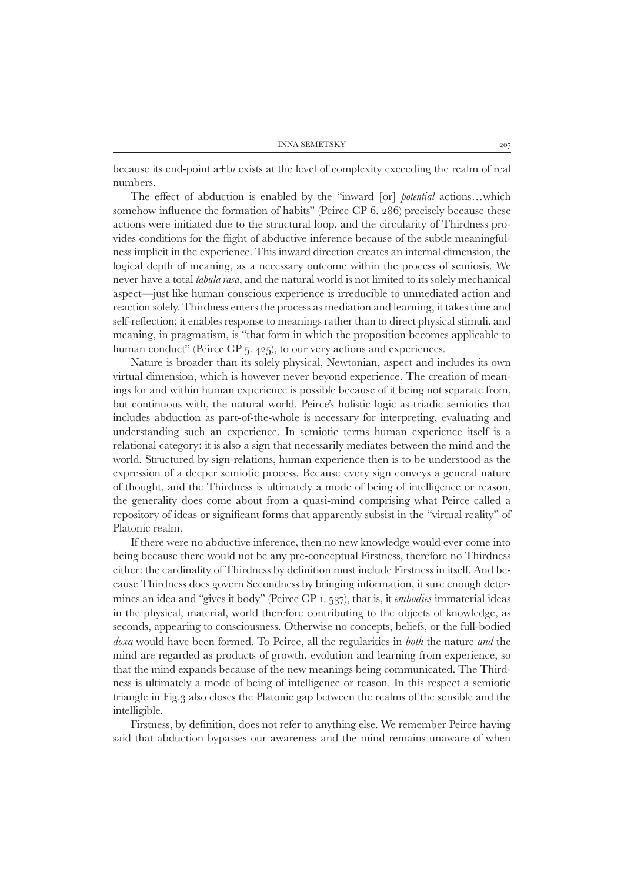because its end-point a+b*i* exists at the level of complexity exceeding the realm of real numbers.

The effect of abduction is enabled by the "inward [or] *potential* actions…which somehow influence the formation of habits" (Peirce CP 6. 286) precisely because these actions were initiated due to the structural loop, and the circularity of Thirdness provides conditions for the flight of abductive inference because of the subtle meaningfulness implicit in the experience. This inward direction creates an internal dimension, the logical depth of meaning, as a necessary outcome within the process of semiosis. We never have a total *tabula rasa*, and the natural world is not limited to its solely mechanical aspect—just like human conscious experience is irreducible to unmediated action and reaction solely. Thirdness enters the process as mediation and learning, it takes time and self-reflection; it enables response to meanings rather than to direct physical stimuli, and meaning, in pragmatism, is "that form in which the proposition becomes applicable to human conduct" (Peirce CP 5. 425), to our very actions and experiences.

Nature is broader than its solely physical, Newtonian, aspect and includes its own virtual dimension, which is however never beyond experience. The creation of meanings for and within human experience is possible because of it being not separate from, but continuous with, the natural world. Peirce's holistic logic as triadic semiotics that includes abduction as part-of-the-whole is necessary for interpreting, evaluating and understanding such an experience. In semiotic terms human experience itself is a relational category: it is also a sign that necessarily mediates between the mind and the world. Structured by sign-relations, human experience then is to be understood as the expression of a deeper semiotic process. Because every sign conveys a general nature of thought, and the Thirdness is ultimately a mode of being of intelligence or reason, the generality does come about from a quasi-mind comprising what Peirce called a repository of ideas or significant forms that apparently subsist in the "virtual reality" of Platonic realm.

If there were no abductive inference, then no new knowledge would ever come into being because there would not be any pre-conceptual Firstness, therefore no Thirdness either: the cardinality of Thirdness by definition must include Firstness in itself. And because Thirdness does govern Secondness by bringing information, it sure enough determines an idea and "gives it body" (Peirce CP 1. 537), that is, it *embodies* immaterial ideas in the physical, material, world therefore contributing to the objects of knowledge, as seconds, appearing to consciousness. Otherwise no concepts, beliefs, or the full-bodied *doxa* would have been formed. To Peirce, all the regularities in *both* the nature *and* the mind are regarded as products of growth, evolution and learning from experience, so that the mind expands because of the new meanings being communicated. The Thirdness is ultimately a mode of being of intelligence or reason. In this respect a semiotic triangle in Fig.3 also closes the Platonic gap between the realms of the sensible and the intelligible.

Firstness, by definition, does not refer to anything else. We remember Peirce having said that abduction bypasses our awareness and the mind remains unaware of when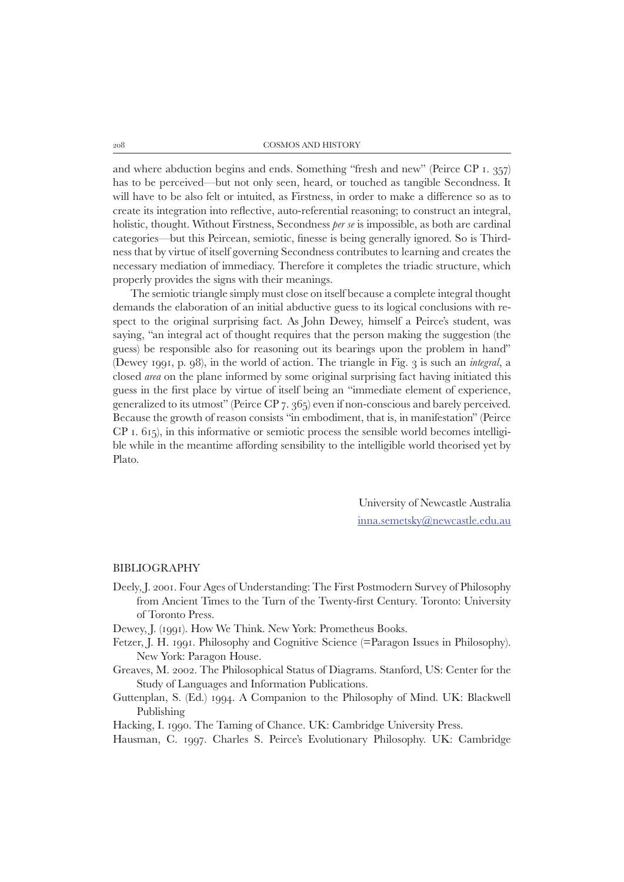and where abduction begins and ends. Something "fresh and new" (Peirce CP 1. 357) has to be perceived—but not only seen, heard, or touched as tangible Secondness. It will have to be also felt or intuited, as Firstness, in order to make a difference so as to create its integration into reflective, auto-referential reasoning; to construct an integral, holistic, thought. Without Firstness, Secondness *per se* is impossible, as both are cardinal categories—but this Peircean, semiotic, finesse is being generally ignored. So is Thirdness that by virtue of itself governing Secondness contributes to learning and creates the necessary mediation of immediacy. Therefore it completes the triadic structure, which properly provides the signs with their meanings.

The semiotic triangle simply must close on itself because a complete integral thought demands the elaboration of an initial abductive guess to its logical conclusions with respect to the original surprising fact. As John Dewey, himself a Peirce's student, was saying, "an integral act of thought requires that the person making the suggestion (the guess) be responsible also for reasoning out its bearings upon the problem in hand" (Dewey 1991, p. 98), in the world of action. The triangle in Fig. 3 is such an *integral*, a closed *area* on the plane informed by some original surprising fact having initiated this guess in the first place by virtue of itself being an "immediate element of experience, generalized to its utmost" (Peirce CP 7. 365) even if non-conscious and barely perceived. Because the growth of reason consists "in embodiment, that is, in manifestation" (Peirce CP 1. 615), in this informative or semiotic process the sensible world becomes intelligible while in the meantime affording sensibility to the intelligible world theorised yet by Plato.

> University of Newcastle Australia inna.semetsky@newcastle.edu.au

#### BIBLIOGRAPHY

- Deely, J. 2001. Four Ages of Understanding: The First Postmodern Survey of Philosophy from Ancient Times to the Turn of the Twenty-first Century. Toronto: University of Toronto Press.
- Dewey, J. (1991). How We Think. New York: Prometheus Books.
- Fetzer, J. H. 1991. Philosophy and Cognitive Science (=Paragon Issues in Philosophy). New York: Paragon House.
- Greaves, M. 2002. The Philosophical Status of Diagrams. Stanford, US: Center for the Study of Languages and Information Publications.
- Guttenplan, S. (Ed.) 1994. A Companion to the Philosophy of Mind. UK: Blackwell Publishing
- Hacking, I. 1990. The Taming of Chance. UK: Cambridge University Press.
- Hausman, C. 1997. Charles S. Peirce's Evolutionary Philosophy. UK: Cambridge